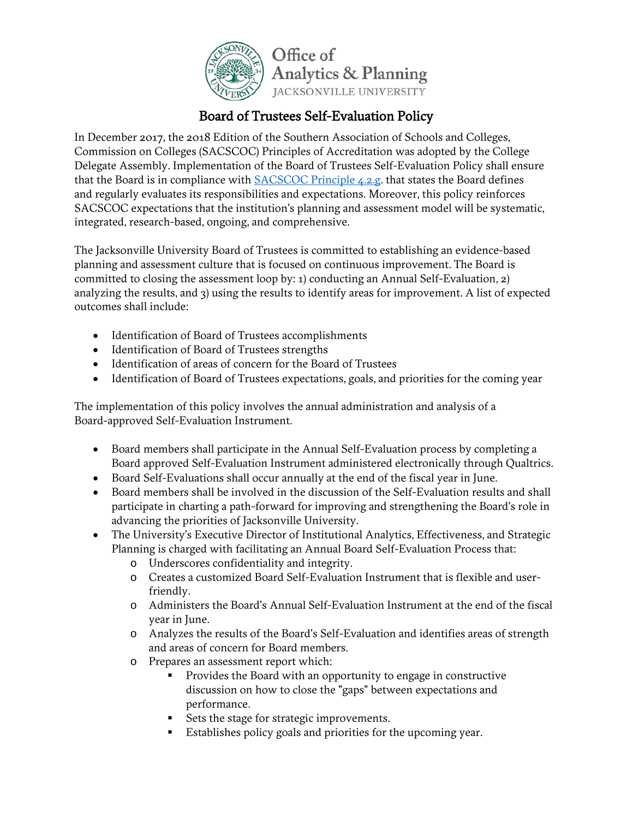

## Board of Trustees Self-Evaluation Policy

In December 2017, the 2018 Edition of the Southern Association of Schools and Colleges, Commission on Colleges (SACSCOC) Principles of Accreditation was adopted by the College Delegate Assembly. Implementation of the Board of Trustees Self-Evaluation Policy shall ensure that the Board is in compliance with **SACSCOC Principle 4.2.g**. that states the Board defines and regularly evaluates its responsibilities and expectations. Moreover, this policy reinforces SACSCOC expectations that the institution's planning and assessment model will be systematic, integrated, research-based, ongoing, and comprehensive.

The Jacksonville University Board of Trustees is committed to establishing an evidence-based planning and assessment culture that is focused on continuous improvement. The Board is committed to closing the assessment loop by: 1) conducting an Annual Self-Evaluation, 2) analyzing the results, and 3) using the results to identify areas for improvement. A list of expected outcomes shall include:

- Identification of Board of Trustees accomplishments
- Identification of Board of Trustees strengths
- Identification of areas of concern for the Board of Trustees
- Identification of Board of Trustees expectations, goals, and priorities for the coming year

The implementation of this policy involves the annual administration and analysis of a Board-approved Self-Evaluation Instrument.

- Board members shall participate in the Annual Self-Evaluation process by completing a Board approved Self-Evaluation Instrument administered electronically through Qualtrics.
- Board Self-Evaluations shall occur annually at the end of the fiscal year in June.
- Board members shall be involved in the discussion of the Self-Evaluation results and shall participate in charting a path-forward for improving and strengthening the Board's role in advancing the priorities of Jacksonville University.
- The University's Executive Director of Institutional Analytics, Effectiveness, and Strategic Planning is charged with facilitating an Annual Board Self-Evaluation Process that:
	- o Underscores confidentiality and integrity.
	- o Creates a customized Board Self-Evaluation Instrument that is flexible and userfriendly.
	- o Administers the Board's Annual Self-Evaluation Instrument at the end of the fiscal year in June.
	- o Analyzes the results of the Board's Self-Evaluation and identifies areas of strength and areas of concern for Board members.
	- o Prepares an assessment report which:
		- Provides the Board with an opportunity to engage in constructive discussion on how to close the "gaps" between expectations and performance.
		- Sets the stage for strategic improvements.
		- Establishes policy goals and priorities for the upcoming year.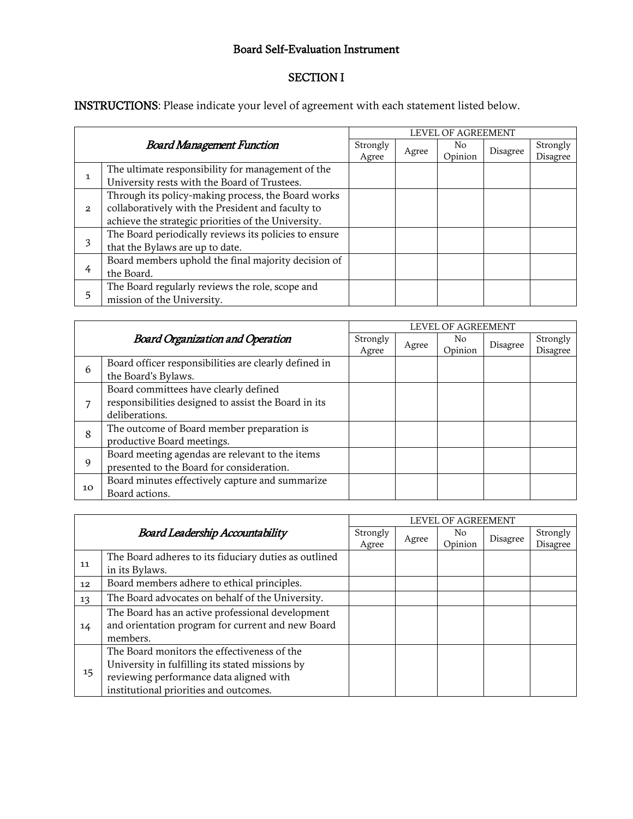## Board Self-Evaluation Instrument

## SECTION I

INSTRUCTIONS: Please indicate your level of agreement with each statement listed below.

| <b>Board Management Function</b> |                                                       | LEVEL OF AGREEMENT |       |         |          |          |  |
|----------------------------------|-------------------------------------------------------|--------------------|-------|---------|----------|----------|--|
|                                  |                                                       | Strongly           | Agree | No.     | Disagree | Strongly |  |
|                                  |                                                       | Agree              |       | Opinion |          | Disagree |  |
| 1                                | The ultimate responsibility for management of the     |                    |       |         |          |          |  |
|                                  | University rests with the Board of Trustees.          |                    |       |         |          |          |  |
| $\overline{2}$                   | Through its policy-making process, the Board works    |                    |       |         |          |          |  |
|                                  | collaboratively with the President and faculty to     |                    |       |         |          |          |  |
|                                  | achieve the strategic priorities of the University.   |                    |       |         |          |          |  |
| 3                                | The Board periodically reviews its policies to ensure |                    |       |         |          |          |  |
|                                  | that the Bylaws are up to date.                       |                    |       |         |          |          |  |
| 4                                | Board members uphold the final majority decision of   |                    |       |         |          |          |  |
|                                  | the Board.                                            |                    |       |         |          |          |  |
| 5                                | The Board regularly reviews the role, scope and       |                    |       |         |          |          |  |
|                                  | mission of the University.                            |                    |       |         |          |          |  |

| <b>Board Organization and Operation</b> |                                                                                                                 | LEVEL OF AGREEMENT |       |                |          |                      |  |
|-----------------------------------------|-----------------------------------------------------------------------------------------------------------------|--------------------|-------|----------------|----------|----------------------|--|
|                                         |                                                                                                                 | Strongly<br>Agree  | Agree | No.<br>Opinion | Disagree | Strongly<br>Disagree |  |
| 6                                       | Board officer responsibilities are clearly defined in<br>the Board's Bylaws.                                    |                    |       |                |          |                      |  |
|                                         | Board committees have clearly defined<br>responsibilities designed to assist the Board in its<br>deliberations. |                    |       |                |          |                      |  |
| 8                                       | The outcome of Board member preparation is<br>productive Board meetings.                                        |                    |       |                |          |                      |  |
| 9                                       | Board meeting agendas are relevant to the items<br>presented to the Board for consideration.                    |                    |       |                |          |                      |  |
| 10                                      | Board minutes effectively capture and summarize<br>Board actions.                                               |                    |       |                |          |                      |  |

| <b>Board Leadership Accountability</b> |                                                       | LEVEL OF AGREEMENT |       |               |          |                      |  |
|----------------------------------------|-------------------------------------------------------|--------------------|-------|---------------|----------|----------------------|--|
|                                        |                                                       | Strongly<br>Agree  | Agree | No<br>Opinion | Disagree | Strongly<br>Disagree |  |
| 11                                     | The Board adheres to its fiduciary duties as outlined |                    |       |               |          |                      |  |
|                                        | in its Bylaws.                                        |                    |       |               |          |                      |  |
| 12                                     | Board members adhere to ethical principles.           |                    |       |               |          |                      |  |
| 13                                     | The Board advocates on behalf of the University.      |                    |       |               |          |                      |  |
| 14                                     | The Board has an active professional development      |                    |       |               |          |                      |  |
|                                        | and orientation program for current and new Board     |                    |       |               |          |                      |  |
|                                        | members.                                              |                    |       |               |          |                      |  |
| 15                                     | The Board monitors the effectiveness of the           |                    |       |               |          |                      |  |
|                                        | University in fulfilling its stated missions by       |                    |       |               |          |                      |  |
|                                        | reviewing performance data aligned with               |                    |       |               |          |                      |  |
|                                        | institutional priorities and outcomes.                |                    |       |               |          |                      |  |